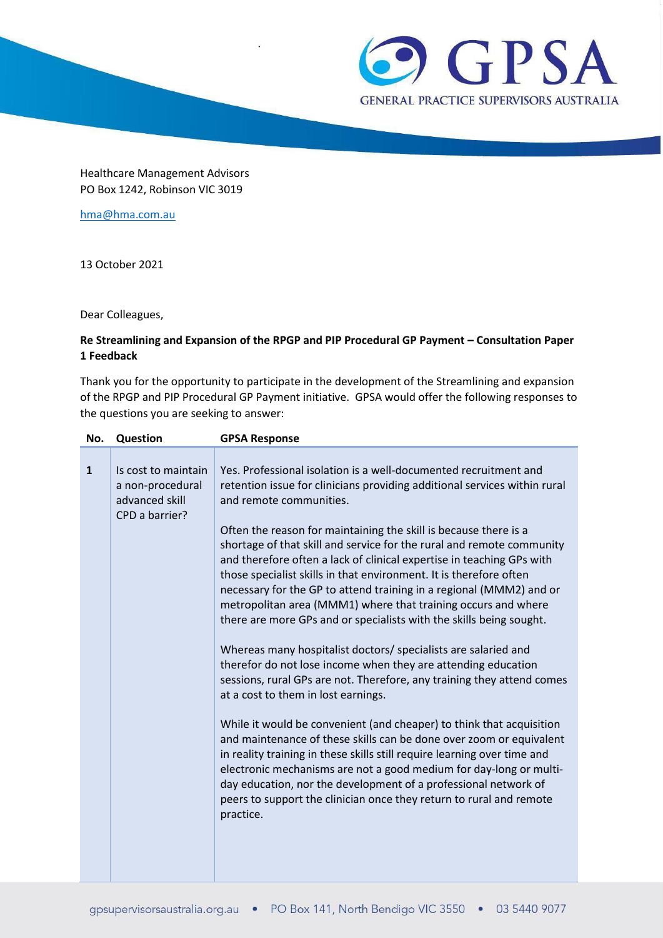

Healthcare Management Advisors PO Box 1242, Robinson VIC 3019

[hma@hma.com.au](mailto:hma@hma.com.au)

13 October 2021

Dear Colleagues,

## **Re Streamlining and Expansion of the RPGP and PIP Procedural GP Payment – Consultation Paper 1 Feedback**

Thank you for the opportunity to participate in the development of the Streamlining and expansion of the RPGP and PIP Procedural GP Payment initiative. GPSA would offer the following responses to the questions you are seeking to answer:

| No.          | Question                                                                    | <b>GPSA Response</b>                                                                                                                                                                                                                                                                                                                                                                                                                                                                                                                                                                                                                                                                                                                                                                                                   |
|--------------|-----------------------------------------------------------------------------|------------------------------------------------------------------------------------------------------------------------------------------------------------------------------------------------------------------------------------------------------------------------------------------------------------------------------------------------------------------------------------------------------------------------------------------------------------------------------------------------------------------------------------------------------------------------------------------------------------------------------------------------------------------------------------------------------------------------------------------------------------------------------------------------------------------------|
| $\mathbf{1}$ | Is cost to maintain<br>a non-procedural<br>advanced skill<br>CPD a barrier? | Yes. Professional isolation is a well-documented recruitment and<br>retention issue for clinicians providing additional services within rural<br>and remote communities.<br>Often the reason for maintaining the skill is because there is a<br>shortage of that skill and service for the rural and remote community<br>and therefore often a lack of clinical expertise in teaching GPs with<br>those specialist skills in that environment. It is therefore often<br>necessary for the GP to attend training in a regional (MMM2) and or<br>metropolitan area (MMM1) where that training occurs and where<br>there are more GPs and or specialists with the skills being sought.<br>Whereas many hospitalist doctors/ specialists are salaried and<br>therefor do not lose income when they are attending education |
|              |                                                                             | sessions, rural GPs are not. Therefore, any training they attend comes<br>at a cost to them in lost earnings.<br>While it would be convenient (and cheaper) to think that acquisition<br>and maintenance of these skills can be done over zoom or equivalent<br>in reality training in these skills still require learning over time and<br>electronic mechanisms are not a good medium for day-long or multi-<br>day education, nor the development of a professional network of<br>peers to support the clinician once they return to rural and remote<br>practice.                                                                                                                                                                                                                                                  |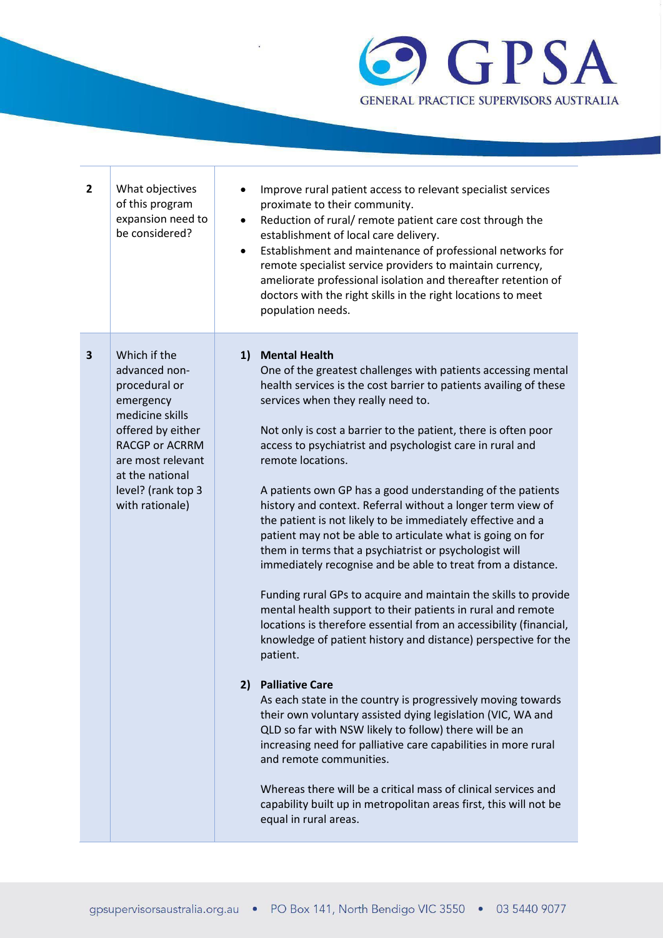

| $\overline{2}$ | What objectives<br>of this program<br>expansion need to<br>be considered?                                                                                                                                     | $\bullet$<br>$\bullet$ | Improve rural patient access to relevant specialist services<br>proximate to their community.<br>Reduction of rural/ remote patient care cost through the<br>establishment of local care delivery.<br>Establishment and maintenance of professional networks for<br>remote specialist service providers to maintain currency,<br>ameliorate professional isolation and thereafter retention of<br>doctors with the right skills in the right locations to meet<br>population needs.                                                                                                                                                                                                                                                                                                                                                                                                                                                                                                                                                                                                                                                                                                                                                                                                                                                                                                                                                                                                                   |
|----------------|---------------------------------------------------------------------------------------------------------------------------------------------------------------------------------------------------------------|------------------------|-------------------------------------------------------------------------------------------------------------------------------------------------------------------------------------------------------------------------------------------------------------------------------------------------------------------------------------------------------------------------------------------------------------------------------------------------------------------------------------------------------------------------------------------------------------------------------------------------------------------------------------------------------------------------------------------------------------------------------------------------------------------------------------------------------------------------------------------------------------------------------------------------------------------------------------------------------------------------------------------------------------------------------------------------------------------------------------------------------------------------------------------------------------------------------------------------------------------------------------------------------------------------------------------------------------------------------------------------------------------------------------------------------------------------------------------------------------------------------------------------------|
| 3              | Which if the<br>advanced non-<br>procedural or<br>emergency<br>medicine skills<br>offered by either<br><b>RACGP or ACRRM</b><br>are most relevant<br>at the national<br>level? (rank top 3<br>with rationale) |                        | 1) Mental Health<br>One of the greatest challenges with patients accessing mental<br>health services is the cost barrier to patients availing of these<br>services when they really need to.<br>Not only is cost a barrier to the patient, there is often poor<br>access to psychiatrist and psychologist care in rural and<br>remote locations.<br>A patients own GP has a good understanding of the patients<br>history and context. Referral without a longer term view of<br>the patient is not likely to be immediately effective and a<br>patient may not be able to articulate what is going on for<br>them in terms that a psychiatrist or psychologist will<br>immediately recognise and be able to treat from a distance.<br>Funding rural GPs to acquire and maintain the skills to provide<br>mental health support to their patients in rural and remote<br>locations is therefore essential from an accessibility (financial,<br>knowledge of patient history and distance) perspective for the<br>patient.<br>2) Palliative Care<br>As each state in the country is progressively moving towards<br>their own voluntary assisted dying legislation (VIC, WA and<br>QLD so far with NSW likely to follow) there will be an<br>increasing need for palliative care capabilities in more rural<br>and remote communities.<br>Whereas there will be a critical mass of clinical services and<br>capability built up in metropolitan areas first, this will not be<br>equal in rural areas. |